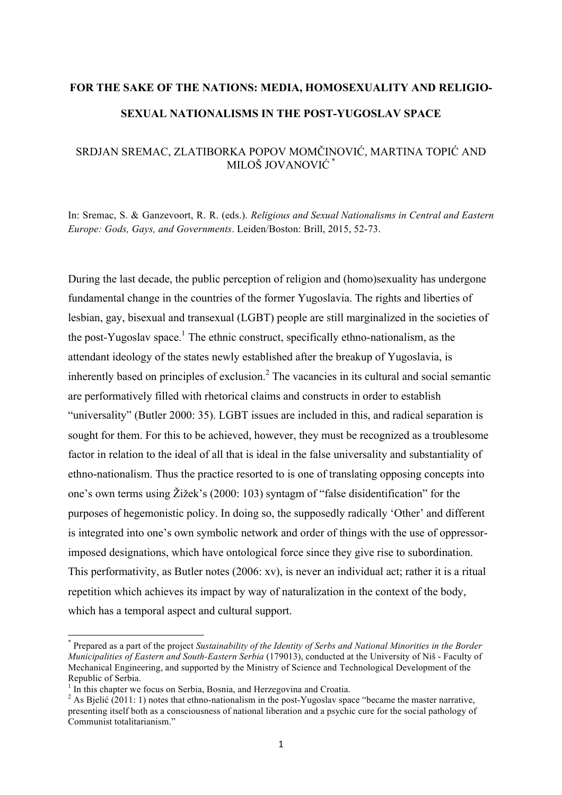# **FOR THE SAKE OF THE NATIONS: MEDIA, HOMOSEXUALITY AND RELIGIO-SEXUAL NATIONALISMS IN THE POST-YUGOSLAV SPACE**

## SRDJAN SREMAC, ZLATIBORKA POPOV MOMČINOVIĆ, MARTINA TOPIĆ AND MILOŠ JOVANOVIĆ \*

In: Sremac, S. & Ganzevoort, R. R. (eds.). *Religious and Sexual Nationalisms in Central and Eastern Europe: Gods, Gays, and Governments*. Leiden/Boston: Brill, 2015, 52-73.

During the last decade, the public perception of religion and (homo)sexuality has undergone fundamental change in the countries of the former Yugoslavia. The rights and liberties of lesbian, gay, bisexual and transexual (LGBT) people are still marginalized in the societies of the post-Yugoslav space.<sup>1</sup> The ethnic construct, specifically ethno-nationalism, as the attendant ideology of the states newly established after the breakup of Yugoslavia, is inherently based on principles of exclusion.<sup>2</sup> The vacancies in its cultural and social semantic are performatively filled with rhetorical claims and constructs in order to establish "universality" (Butler 2000: 35). LGBT issues are included in this, and radical separation is sought for them. For this to be achieved, however, they must be recognized as a troublesome factor in relation to the ideal of all that is ideal in the false universality and substantiality of ethno-nationalism. Thus the practice resorted to is one of translating opposing concepts into one's own terms using Žižek's (2000: 103) syntagm of "false disidentification" for the purposes of hegemonistic policy. In doing so, the supposedly radically 'Other' and different is integrated into one's own symbolic network and order of things with the use of oppressorimposed designations, which have ontological force since they give rise to subordination. This performativity, as Butler notes (2006: xv), is never an individual act; rather it is a ritual repetition which achieves its impact by way of naturalization in the context of the body, which has a temporal aspect and cultural support.

<sup>\*</sup> Prepared as a part of the project *Sustainability of the Identity of Serbs and National Minorities in the Border Municipalities of Eastern and South-Eastern Serbia* (179013), conducted at the University of Niš - Faculty of Mechanical Engineering, and supported by the Ministry of Science and Technological Development of the Republic of Serbia.

<sup>1</sup> In this chapter we focus on Serbia, Bosnia, and Herzegovina and Croatia.

<sup>&</sup>lt;sup>2</sup> As Bielić (2011: 1) notes that ethno-nationalism in the post-Yugoslav space "became the master narrative, presenting itself both as a consciousness of national liberation and a psychic cure for the social pathology of Communist totalitarianism."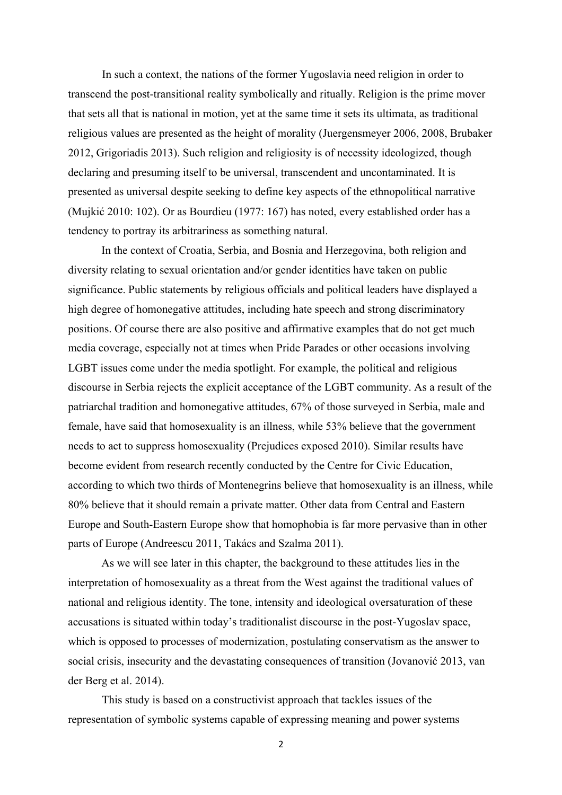In such a context, the nations of the former Yugoslavia need religion in order to transcend the post-transitional reality symbolically and ritually. Religion is the prime mover that sets all that is national in motion, yet at the same time it sets its ultimata, as traditional religious values are presented as the height of morality (Juergensmeyer 2006, 2008, Brubaker 2012, Grigoriadis 2013). Such religion and religiosity is of necessity ideologized, though declaring and presuming itself to be universal, transcendent and uncontaminated. It is presented as universal despite seeking to define key aspects of the ethnopolitical narrative (Mujkić 2010: 102). Or as Bourdieu (1977: 167) has noted, every established order has a tendency to portray its arbitrariness as something natural.

 In the context of Croatia, Serbia, and Bosnia and Herzegovina, both religion and diversity relating to sexual orientation and/or gender identities have taken on public significance. Public statements by religious officials and political leaders have displayed a high degree of homonegative attitudes, including hate speech and strong discriminatory positions. Of course there are also positive and affirmative examples that do not get much media coverage, especially not at times when Pride Parades or other occasions involving LGBT issues come under the media spotlight. For example, the political and religious discourse in Serbia rejects the explicit acceptance of the LGBT community. As a result of the patriarchal tradition and homonegative attitudes, 67% of those surveyed in Serbia, male and female, have said that homosexuality is an illness, while 53% believe that the government needs to act to suppress homosexuality (Prejudices exposed 2010). Similar results have become evident from research recently conducted by the Centre for Civic Education, according to which two thirds of Montenegrins believe that homosexuality is an illness, while 80% believe that it should remain a private matter. Other data from Central and Eastern Europe and South-Eastern Europe show that homophobia is far more pervasive than in other parts of Europe (Andreescu 2011, Takács and Szalma 2011).

 As we will see later in this chapter, the background to these attitudes lies in the interpretation of homosexuality as a threat from the West against the traditional values of national and religious identity. The tone, intensity and ideological oversaturation of these accusations is situated within today's traditionalist discourse in the post-Yugoslav space, which is opposed to processes of modernization, postulating conservatism as the answer to social crisis, insecurity and the devastating consequences of transition (Jovanović 2013, van der Berg et al. 2014).

This study is based on a constructivist approach that tackles issues of the representation of symbolic systems capable of expressing meaning and power systems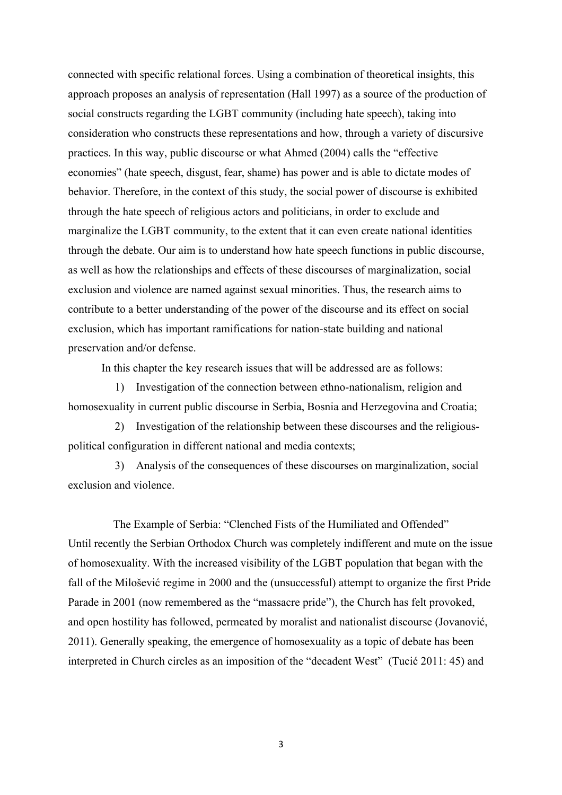connected with specific relational forces. Using a combination of theoretical insights, this approach proposes an analysis of representation (Hall 1997) as a source of the production of social constructs regarding the LGBT community (including hate speech), taking into consideration who constructs these representations and how, through a variety of discursive practices. In this way, public discourse or what Ahmed (2004) calls the "effective economies" (hate speech, disgust, fear, shame) has power and is able to dictate modes of behavior. Therefore, in the context of this study, the social power of discourse is exhibited through the hate speech of religious actors and politicians, in order to exclude and marginalize the LGBT community, to the extent that it can even create national identities through the debate. Our aim is to understand how hate speech functions in public discourse, as well as how the relationships and effects of these discourses of marginalization, social exclusion and violence are named against sexual minorities. Thus, the research aims to contribute to a better understanding of the power of the discourse and its effect on social exclusion, which has important ramifications for nation-state building and national preservation and/or defense.

In this chapter the key research issues that will be addressed are as follows:

1) Investigation of the connection between ethno-nationalism, religion and homosexuality in current public discourse in Serbia, Bosnia and Herzegovina and Croatia;

2) Investigation of the relationship between these discourses and the religiouspolitical configuration in different national and media contexts;

3) Analysis of the consequences of these discourses on marginalization, social exclusion and violence.

The Example of Serbia: "Clenched Fists of the Humiliated and Offended" Until recently the Serbian Orthodox Church was completely indifferent and mute on the issue of homosexuality. With the increased visibility of the LGBT population that began with the fall of the Milošević regime in 2000 and the (unsuccessful) attempt to organize the first Pride Parade in 2001 (now remembered as the "massacre pride"), the Church has felt provoked, and open hostility has followed, permeated by moralist and nationalist discourse (Jovanović, 2011). Generally speaking, the emergence of homosexuality as a topic of debate has been interpreted in Church circles as an imposition of the "decadent West" (Tucić 2011: 45) and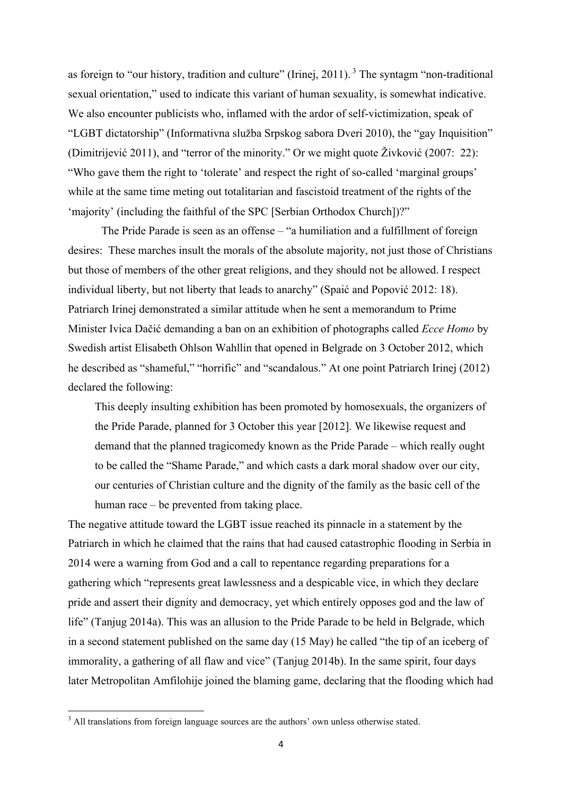as foreign to "our history, tradition and culture" (Irinej, 2011).<sup>3</sup> The syntagm "non-traditional sexual orientation," used to indicate this variant of human sexuality, is somewhat indicative. We also encounter publicists who, inflamed with the ardor of self-victimization, speak of "LGBT dictatorship" (Informativna služba Srpskog sabora Dveri 2010), the "gay Inquisition" (Dimitrijević 2011), and "terror of the minority." Or we might quote Živković (2007: 22): "Who gave them the right to 'tolerate' and respect the right of so-called 'marginal groups' while at the same time meting out totalitarian and fascistoid treatment of the rights of the 'majority' (including the faithful of the SPC [Serbian Orthodox Church])?"

 The Pride Parade is seen as an offense – "a humiliation and a fulfillment of foreign desires: These marches insult the morals of the absolute majority, not just those of Christians but those of members of the other great religions, and they should not be allowed. I respect individual liberty, but not liberty that leads to anarchy" (Spaić and Popović 2012: 18). Patriarch Irinej demonstrated a similar attitude when he sent a memorandum to Prime Minister Ivica Dačić demanding a ban on an exhibition of photographs called *Ecce Homo* by Swedish artist Elisabeth Ohlson Wahllin that opened in Belgrade on 3 October 2012, which he described as "shameful," "horrific" and "scandalous." At one point Patriarch Irinej (2012) declared the following:

This deeply insulting exhibition has been promoted by homosexuals, the organizers of the Pride Parade, planned for 3 October this year [2012]. We likewise request and demand that the planned tragicomedy known as the Pride Parade – which really ought to be called the "Shame Parade," and which casts a dark moral shadow over our city, our centuries of Christian culture and the dignity of the family as the basic cell of the human race – be prevented from taking place.

The negative attitude toward the LGBT issue reached its pinnacle in a statement by the Patriarch in which he claimed that the rains that had caused catastrophic flooding in Serbia in 2014 were a warning from God and a call to repentance regarding preparations for a gathering which "represents great lawlessness and a despicable vice, in which they declare pride and assert their dignity and democracy, yet which entirely opposes god and the law of life" (Tanjug 2014a). This was an allusion to the Pride Parade to be held in Belgrade, which in a second statement published on the same day (15 May) he called "the tip of an iceberg of immorality, a gathering of all flaw and vice" (Tanjug 2014b). In the same spirit, four days later Metropolitan Amfilohije joined the blaming game, declaring that the flooding which had

<sup>&</sup>lt;sup>3</sup> All translations from foreign language sources are the authors' own unless otherwise stated.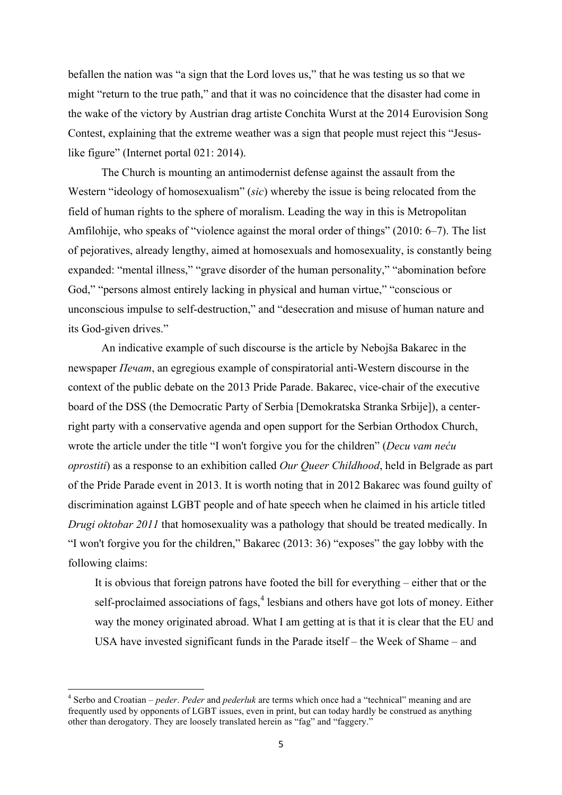befallen the nation was "a sign that the Lord loves us," that he was testing us so that we might "return to the true path," and that it was no coincidence that the disaster had come in the wake of the victory by Austrian drag artiste Conchita Wurst at the 2014 Eurovision Song Contest, explaining that the extreme weather was a sign that people must reject this "Jesuslike figure" (Internet portal 021: 2014).

 The Church is mounting an antimodernist defense against the assault from the Western "ideology of homosexualism" (*sic*) whereby the issue is being relocated from the field of human rights to the sphere of moralism. Leading the way in this is Metropolitan Amfilohije, who speaks of "violence against the moral order of things" (2010: 6–7). The list of pejoratives, already lengthy, aimed at homosexuals and homosexuality, is constantly being expanded: "mental illness," "grave disorder of the human personality," "abomination before God," "persons almost entirely lacking in physical and human virtue," "conscious or unconscious impulse to self-destruction," and "desecration and misuse of human nature and its God-given drives."

 An indicative example of such discourse is the article by Nebojša Bakarec in the newspaper *Печат*, an egregious example of conspiratorial anti-Western discourse in the context of the public debate on the 2013 Pride Parade. Bakarec, vice-chair of the executive board of the DSS (the Democratic Party of Serbia [Demokratska Stranka Srbije]), a centerright party with a conservative agenda and open support for the Serbian Orthodox Church, wrote the article under the title "I won't forgive you for the children" (*Decu vam neću oprostiti*) as a response to an exhibition called *Our Queer Childhood*, held in Belgrade as part of the Pride Parade event in 2013. It is worth noting that in 2012 Bakarec was found guilty of discrimination against LGBT people and of hate speech when he claimed in his article titled *Drugi oktobar 2011* that homosexuality was a pathology that should be treated medically. In "I won't forgive you for the children," Bakarec (2013: 36) "exposes" the gay lobby with the following claims:

It is obvious that foreign patrons have footed the bill for everything – either that or the self-proclaimed associations of fags,<sup>4</sup> lesbians and others have got lots of money. Either way the money originated abroad. What I am getting at is that it is clear that the EU and USA have invested significant funds in the Parade itself – the Week of Shame – and

<sup>4</sup> Serbo and Croatian – *peder*. *Peder* and *pederluk* are terms which once had a "technical" meaning and are frequently used by opponents of LGBT issues, even in print, but can today hardly be construed as anything other than derogatory. They are loosely translated herein as "fag" and "faggery."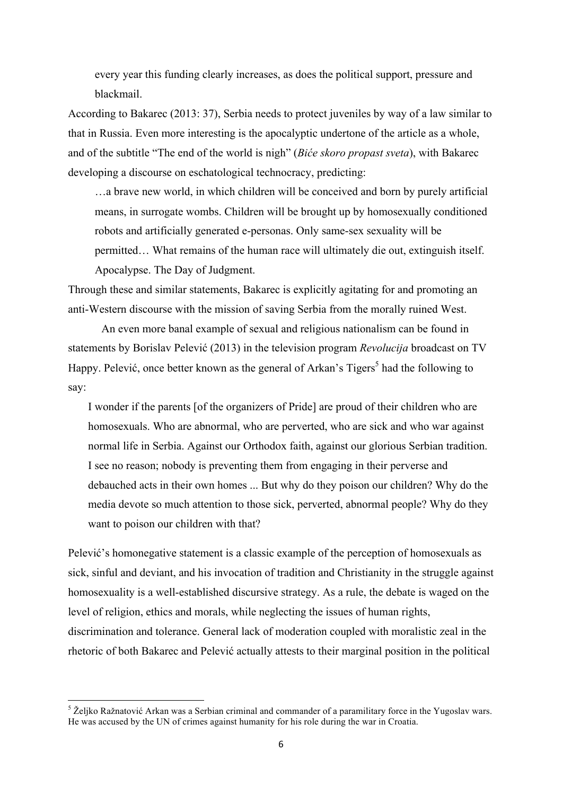every year this funding clearly increases, as does the political support, pressure and blackmail.

According to Bakarec (2013: 37), Serbia needs to protect juveniles by way of a law similar to that in Russia. Even more interesting is the apocalyptic undertone of the article as a whole, and of the subtitle "The end of the world is nigh" (*Biće skoro propast sveta*), with Bakarec developing a discourse on eschatological technocracy, predicting:

…a brave new world, in which children will be conceived and born by purely artificial means, in surrogate wombs. Children will be brought up by homosexually conditioned robots and artificially generated e-personas. Only same-sex sexuality will be permitted… What remains of the human race will ultimately die out, extinguish itself. Apocalypse. The Day of Judgment.

Through these and similar statements, Bakarec is explicitly agitating for and promoting an anti-Western discourse with the mission of saving Serbia from the morally ruined West.

 An even more banal example of sexual and religious nationalism can be found in statements by Borislav Pelević (2013) in the television program *Revolucija* broadcast on TV Happy. Pelević, once better known as the general of Arkan's Tigers<sup>5</sup> had the following to say:

I wonder if the parents [of the organizers of Pride] are proud of their children who are homosexuals. Who are abnormal, who are perverted, who are sick and who war against normal life in Serbia. Against our Orthodox faith, against our glorious Serbian tradition. I see no reason; nobody is preventing them from engaging in their perverse and debauched acts in their own homes ... But why do they poison our children? Why do the media devote so much attention to those sick, perverted, abnormal people? Why do they want to poison our children with that?

Pelević's homonegative statement is a classic example of the perception of homosexuals as sick, sinful and deviant, and his invocation of tradition and Christianity in the struggle against homosexuality is a well-established discursive strategy. As a rule, the debate is waged on the level of religion, ethics and morals, while neglecting the issues of human rights, discrimination and tolerance. General lack of moderation coupled with moralistic zeal in the rhetoric of both Bakarec and Pelević actually attests to their marginal position in the political

<sup>&</sup>lt;sup>5</sup> Željko Ražnatović Arkan was a Serbian criminal and commander of a paramilitary force in the Yugoslav wars. He was accused by the UN of crimes against humanity for his role during the war in Croatia.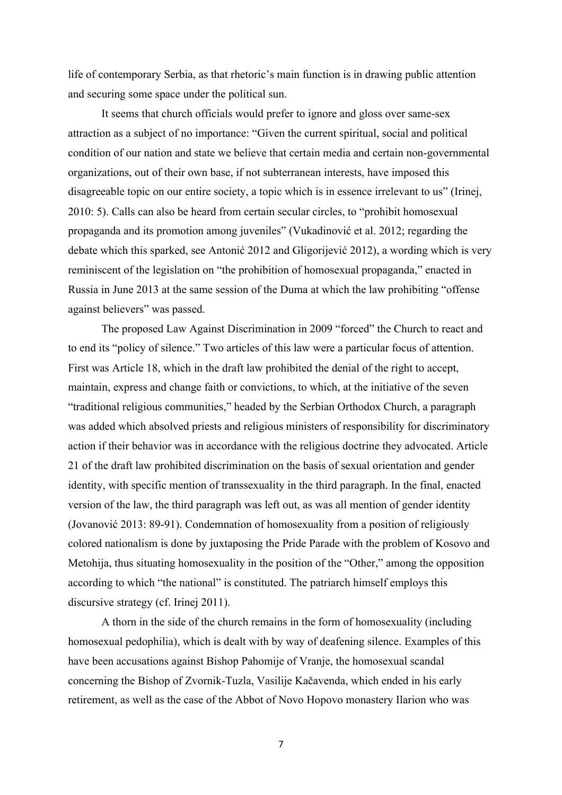life of contemporary Serbia, as that rhetoric's main function is in drawing public attention and securing some space under the political sun.

 It seems that church officials would prefer to ignore and gloss over same-sex attraction as a subject of no importance: "Given the current spiritual, social and political condition of our nation and state we believe that certain media and certain non-governmental organizations, out of their own base, if not subterranean interests, have imposed this disagreeable topic on our entire society, a topic which is in essence irrelevant to us" (Irinej, 2010: 5). Calls can also be heard from certain secular circles, to "prohibit homosexual propaganda and its promotion among juveniles" (Vukadinović et al. 2012; regarding the debate which this sparked, see Antonić 2012 and Gligorijević 2012), a wording which is very reminiscent of the legislation on "the prohibition of homosexual propaganda," enacted in Russia in June 2013 at the same session of the Duma at which the law prohibiting "offense against believers" was passed.

 The proposed Law Against Discrimination in 2009 "forced" the Church to react and to end its "policy of silence." Two articles of this law were a particular focus of attention. First was Article 18, which in the draft law prohibited the denial of the right to accept, maintain, express and change faith or convictions, to which, at the initiative of the seven "traditional religious communities," headed by the Serbian Orthodox Church, a paragraph was added which absolved priests and religious ministers of responsibility for discriminatory action if their behavior was in accordance with the religious doctrine they advocated. Article 21 of the draft law prohibited discrimination on the basis of sexual orientation and gender identity, with specific mention of transsexuality in the third paragraph. In the final, enacted version of the law, the third paragraph was left out, as was all mention of gender identity (Jovanović 2013: 89-91). Condemnation of homosexuality from a position of religiously colored nationalism is done by juxtaposing the Pride Parade with the problem of Kosovo and Metohija, thus situating homosexuality in the position of the "Other," among the opposition according to which "the national" is constituted. The patriarch himself employs this discursive strategy (cf. Irinej 2011).

 A thorn in the side of the church remains in the form of homosexuality (including homosexual pedophilia), which is dealt with by way of deafening silence. Examples of this have been accusations against Bishop Pahomije of Vranje, the homosexual scandal concerning the Bishop of Zvornik-Tuzla, Vasilije Kačavenda, which ended in his early retirement, as well as the case of the Abbot of Novo Hopovo monastery Ilarion who was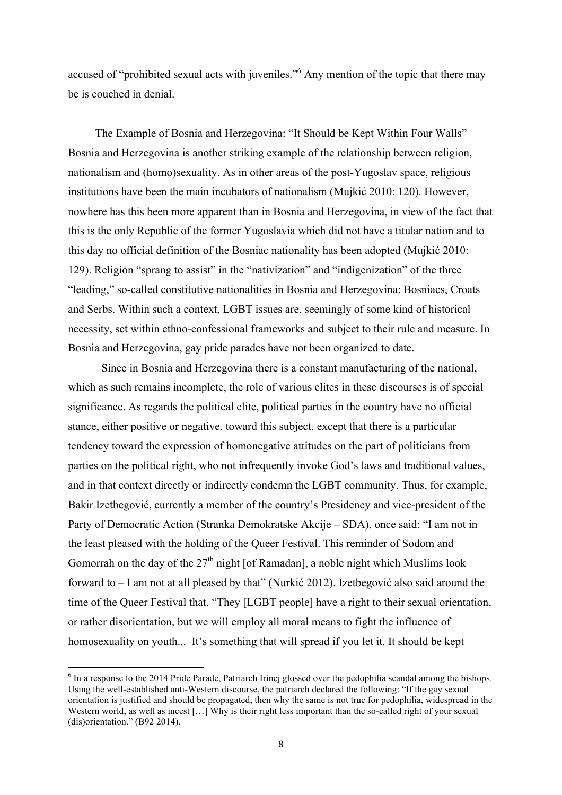accused of "prohibited sexual acts with juveniles." Any mention of the topic that there may be is couched in denial.

The Example of Bosnia and Herzegovina: "It Should be Kept Within Four Walls" Bosnia and Herzegovina is another striking example of the relationship between religion, nationalism and (homo)sexuality. As in other areas of the post-Yugoslav space, religious institutions have been the main incubators of nationalism (Mujkić 2010: 120). However, nowhere has this been more apparent than in Bosnia and Herzegovina, in view of the fact that this is the only Republic of the former Yugoslavia which did not have a titular nation and to this day no official definition of the Bosniac nationality has been adopted (Mujkić 2010: 129). Religion "sprang to assist" in the "nativization" and "indigenization" of the three "leading," so-called constitutive nationalities in Bosnia and Herzegovina: Bosniacs, Croats and Serbs. Within such a context, LGBT issues are, seemingly of some kind of historical necessity, set within ethno-confessional frameworks and subject to their rule and measure. In Bosnia and Herzegovina, gay pride parades have not been organized to date.

 Since in Bosnia and Herzegovina there is a constant manufacturing of the national, which as such remains incomplete, the role of various elites in these discourses is of special significance. As regards the political elite, political parties in the country have no official stance, either positive or negative, toward this subject, except that there is a particular tendency toward the expression of homonegative attitudes on the part of politicians from parties on the political right, who not infrequently invoke God's laws and traditional values, and in that context directly or indirectly condemn the LGBT community. Thus, for example, Bakir Izetbegović, currently a member of the country's Presidency and vice-president of the Party of Democratic Action (Stranka Demokratske Akcije – SDA), once said: "I am not in the least pleased with the holding of the Queer Festival. This reminder of Sodom and Gomorrah on the day of the  $27<sup>th</sup>$  night [of Ramadan], a noble night which Muslims look forward to – I am not at all pleased by that" (Nurkić 2012). Izetbegović also said around the time of the Queer Festival that, "They [LGBT people] have a right to their sexual orientation, or rather disorientation, but we will employ all moral means to fight the influence of homosexuality on youth... It's something that will spread if you let it. It should be kept

<sup>&</sup>lt;sup>6</sup> In a response to the 2014 Pride Parade, Patriarch Irinej glossed over the pedophilia scandal among the bishops. Using the well-established anti-Western discourse, the patriarch declared the following: "If the gay sexual orientation is justified and should be propagated, then why the same is not true for pedophilia, widespread in the Western world, as well as incest [...] Why is their right less important than the so-called right of your sexual (dis)orientation." (B92 2014).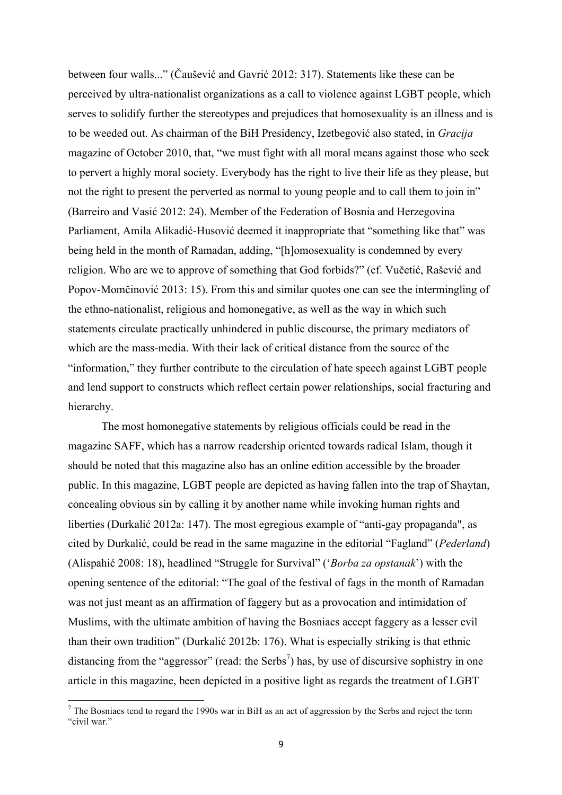between four walls..." (Čaušević and Gavrić 2012: 317). Statements like these can be perceived by ultra-nationalist organizations as a call to violence against LGBT people, which serves to solidify further the stereotypes and prejudices that homosexuality is an illness and is to be weeded out. As chairman of the BiH Presidency, Izetbegović also stated, in *Gracija* magazine of October 2010, that, "we must fight with all moral means against those who seek to pervert a highly moral society. Everybody has the right to live their life as they please, but not the right to present the perverted as normal to young people and to call them to join in" (Barreiro and Vasić 2012: 24). Member of the Federation of Bosnia and Herzegovina Parliament, Amila Alikadić-Husović deemed it inappropriate that "something like that" was being held in the month of Ramadan, adding, "[h]omosexuality is condemned by every religion. Who are we to approve of something that God forbids?" (cf. Vučetić, Rašević and Popov-Momčinović 2013: 15). From this and similar quotes one can see the intermingling of the ethno-nationalist, religious and homonegative, as well as the way in which such statements circulate practically unhindered in public discourse, the primary mediators of which are the mass-media. With their lack of critical distance from the source of the "information," they further contribute to the circulation of hate speech against LGBT people and lend support to constructs which reflect certain power relationships, social fracturing and hierarchy.

 The most homonegative statements by religious officials could be read in the magazine SAFF, which has a narrow readership oriented towards radical Islam, though it should be noted that this magazine also has an online edition accessible by the broader public. In this magazine, LGBT people are depicted as having fallen into the trap of Shaytan, concealing obvious sin by calling it by another name while invoking human rights and liberties (Durkalić 2012a: 147). The most egregious example of "anti-gay propaganda", as cited by Durkalić, could be read in the same magazine in the editorial "Fagland" (*Pederland*) (Alispahić 2008: 18), headlined "Struggle for Survival" ('*Borba za opstanak*') with the opening sentence of the editorial: "The goal of the festival of fags in the month of Ramadan was not just meant as an affirmation of faggery but as a provocation and intimidation of Muslims, with the ultimate ambition of having the Bosniacs accept faggery as a lesser evil than their own tradition" (Durkalić 2012b: 176). What is especially striking is that ethnic distancing from the "aggressor" (read: the Serbs<sup>7</sup>) has, by use of discursive sophistry in one article in this magazine, been depicted in a positive light as regards the treatment of LGBT

 $7$  The Bosniacs tend to regard the 1990s war in BiH as an act of aggression by the Serbs and reject the term "civil war"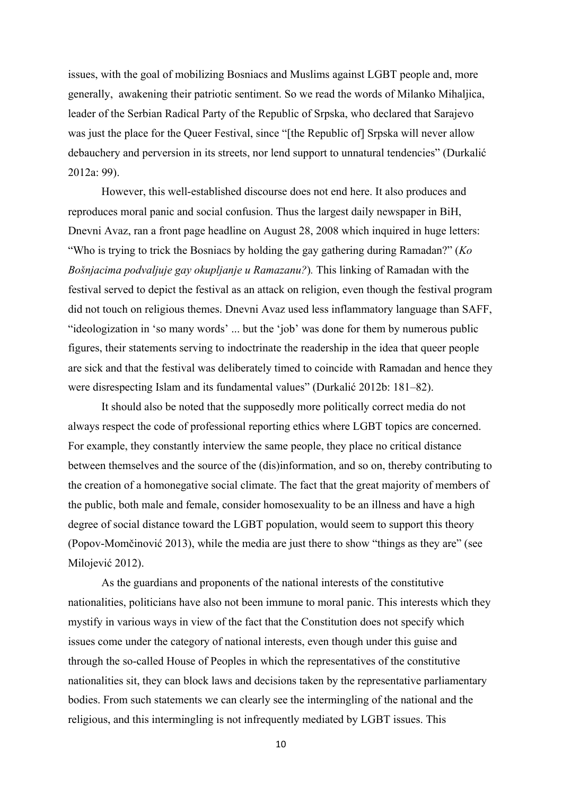issues, with the goal of mobilizing Bosniacs and Muslims against LGBT people and, more generally, awakening their patriotic sentiment. So we read the words of Milanko Mihaljica, leader of the Serbian Radical Party of the Republic of Srpska, who declared that Sarajevo was just the place for the Queer Festival, since "[the Republic of] Srpska will never allow debauchery and perversion in its streets, nor lend support to unnatural tendencies" (Durkalić 2012a: 99).

 However, this well-established discourse does not end here. It also produces and reproduces moral panic and social confusion. Thus the largest daily newspaper in BiH, Dnevni Avaz, ran a front page headline on August 28, 2008 which inquired in huge letters: "Who is trying to trick the Bosniacs by holding the gay gathering during Ramadan?" (*Ko Bošnjacima podvaljuje gay okupljanje u Ramazanu?*)*.* This linking of Ramadan with the festival served to depict the festival as an attack on religion, even though the festival program did not touch on religious themes. Dnevni Avaz used less inflammatory language than SAFF, "ideologization in 'so many words' ... but the 'job' was done for them by numerous public figures, their statements serving to indoctrinate the readership in the idea that queer people are sick and that the festival was deliberately timed to coincide with Ramadan and hence they were disrespecting Islam and its fundamental values" (Durkalić 2012b: 181–82).

 It should also be noted that the supposedly more politically correct media do not always respect the code of professional reporting ethics where LGBT topics are concerned. For example, they constantly interview the same people, they place no critical distance between themselves and the source of the (dis)information, and so on, thereby contributing to the creation of a homonegative social climate. The fact that the great majority of members of the public, both male and female, consider homosexuality to be an illness and have a high degree of social distance toward the LGBT population, would seem to support this theory (Popov-Momčinović 2013), while the media are just there to show "things as they are" (see Milojević 2012).

 As the guardians and proponents of the national interests of the constitutive nationalities, politicians have also not been immune to moral panic. This interests which they mystify in various ways in view of the fact that the Constitution does not specify which issues come under the category of national interests, even though under this guise and through the so-called House of Peoples in which the representatives of the constitutive nationalities sit, they can block laws and decisions taken by the representative parliamentary bodies. From such statements we can clearly see the intermingling of the national and the religious, and this intermingling is not infrequently mediated by LGBT issues. This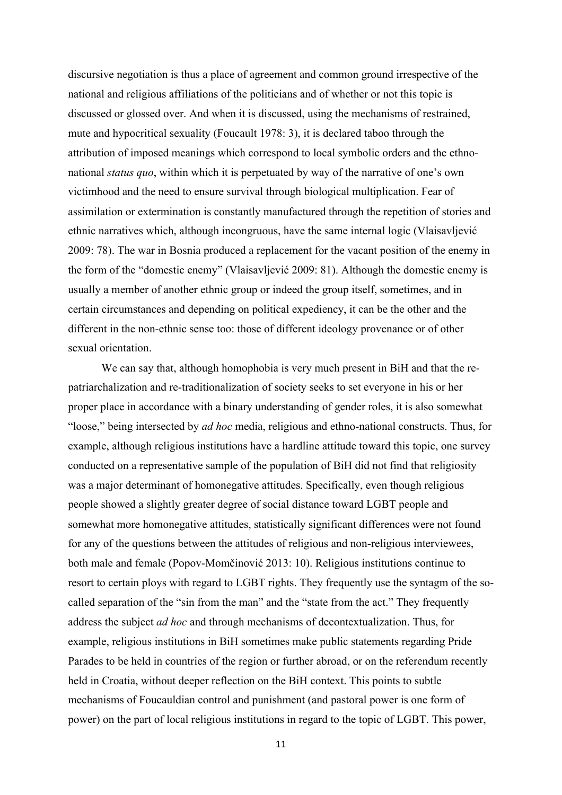discursive negotiation is thus a place of agreement and common ground irrespective of the national and religious affiliations of the politicians and of whether or not this topic is discussed or glossed over. And when it is discussed, using the mechanisms of restrained, mute and hypocritical sexuality (Foucault 1978: 3), it is declared taboo through the attribution of imposed meanings which correspond to local symbolic orders and the ethnonational *status quo*, within which it is perpetuated by way of the narrative of one's own victimhood and the need to ensure survival through biological multiplication. Fear of assimilation or extermination is constantly manufactured through the repetition of stories and ethnic narratives which, although incongruous, have the same internal logic (Vlaisavljević 2009: 78). The war in Bosnia produced a replacement for the vacant position of the enemy in the form of the "domestic enemy" (Vlaisavljević 2009: 81). Although the domestic enemy is usually a member of another ethnic group or indeed the group itself, sometimes, and in certain circumstances and depending on political expediency, it can be the other and the different in the non-ethnic sense too: those of different ideology provenance or of other sexual orientation.

 We can say that, although homophobia is very much present in BiH and that the repatriarchalization and re-traditionalization of society seeks to set everyone in his or her proper place in accordance with a binary understanding of gender roles, it is also somewhat "loose," being intersected by *ad hoc* media, religious and ethno-national constructs. Thus, for example, although religious institutions have a hardline attitude toward this topic, one survey conducted on a representative sample of the population of BiH did not find that religiosity was a major determinant of homonegative attitudes. Specifically, even though religious people showed a slightly greater degree of social distance toward LGBT people and somewhat more homonegative attitudes, statistically significant differences were not found for any of the questions between the attitudes of religious and non-religious interviewees, both male and female (Popov-Momčinović 2013: 10). Religious institutions continue to resort to certain ploys with regard to LGBT rights. They frequently use the syntagm of the socalled separation of the "sin from the man" and the "state from the act." They frequently address the subject *ad hoc* and through mechanisms of decontextualization. Thus, for example, religious institutions in BiH sometimes make public statements regarding Pride Parades to be held in countries of the region or further abroad, or on the referendum recently held in Croatia, without deeper reflection on the BiH context. This points to subtle mechanisms of Foucauldian control and punishment (and pastoral power is one form of power) on the part of local religious institutions in regard to the topic of LGBT. This power,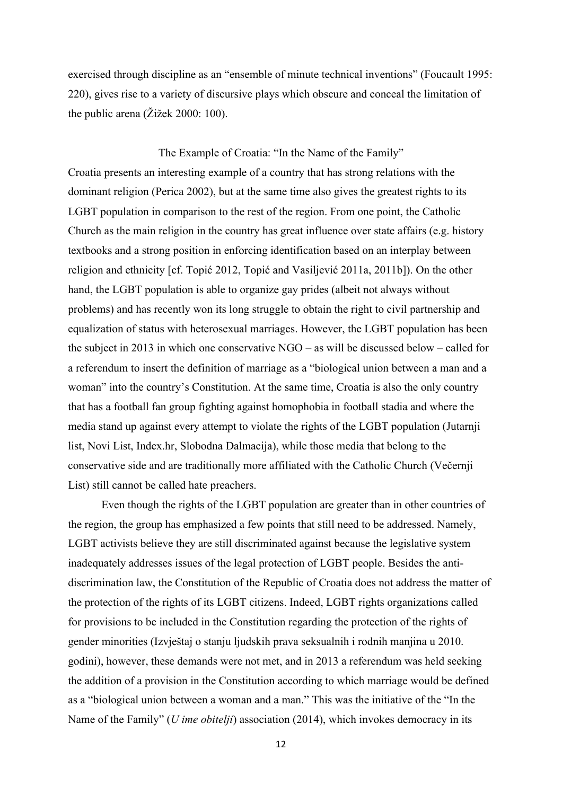exercised through discipline as an "ensemble of minute technical inventions" (Foucault 1995: 220), gives rise to a variety of discursive plays which obscure and conceal the limitation of the public arena (Žižek 2000: 100).

### The Example of Croatia: "In the Name of the Family"

Croatia presents an interesting example of a country that has strong relations with the dominant religion (Perica 2002), but at the same time also gives the greatest rights to its LGBT population in comparison to the rest of the region. From one point, the Catholic Church as the main religion in the country has great influence over state affairs (e.g. history textbooks and a strong position in enforcing identification based on an interplay between religion and ethnicity [cf. Topić 2012, Topić and Vasiljević 2011a, 2011b]). On the other hand, the LGBT population is able to organize gay prides (albeit not always without problems) and has recently won its long struggle to obtain the right to civil partnership and equalization of status with heterosexual marriages. However, the LGBT population has been the subject in 2013 in which one conservative NGO – as will be discussed below – called for a referendum to insert the definition of marriage as a "biological union between a man and a woman" into the country's Constitution. At the same time, Croatia is also the only country that has a football fan group fighting against homophobia in football stadia and where the media stand up against every attempt to violate the rights of the LGBT population (Jutarnji list, Novi List, Index.hr, Slobodna Dalmacija), while those media that belong to the conservative side and are traditionally more affiliated with the Catholic Church (Večernji List) still cannot be called hate preachers.

 Even though the rights of the LGBT population are greater than in other countries of the region, the group has emphasized a few points that still need to be addressed. Namely, LGBT activists believe they are still discriminated against because the legislative system inadequately addresses issues of the legal protection of LGBT people. Besides the antidiscrimination law, the Constitution of the Republic of Croatia does not address the matter of the protection of the rights of its LGBT citizens. Indeed, LGBT rights organizations called for provisions to be included in the Constitution regarding the protection of the rights of gender minorities (Izvještaj o stanju ljudskih prava seksualnih i rodnih manjina u 2010. godini), however, these demands were not met, and in 2013 a referendum was held seeking the addition of a provision in the Constitution according to which marriage would be defined as a "biological union between a woman and a man." This was the initiative of the "In the Name of the Family" (*U ime obitelji*) association (2014), which invokes democracy in its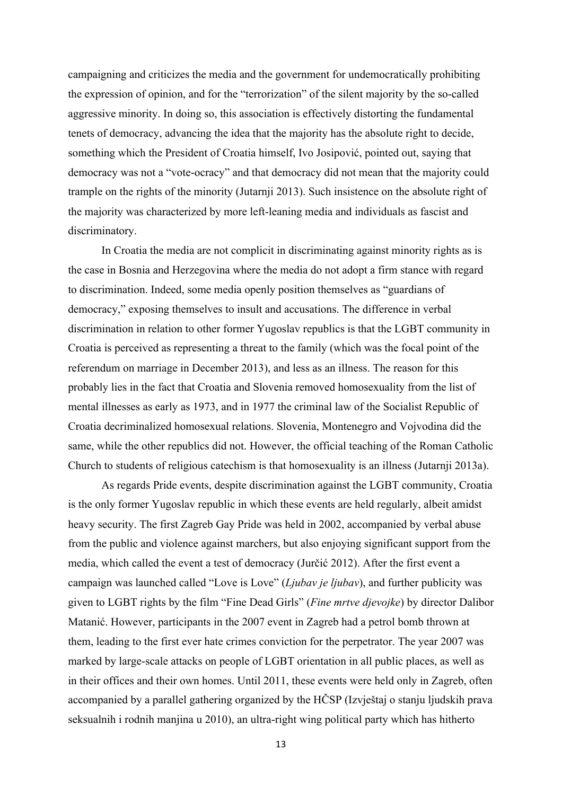campaigning and criticizes the media and the government for undemocratically prohibiting the expression of opinion, and for the "terrorization" of the silent majority by the so-called aggressive minority. In doing so, this association is effectively distorting the fundamental tenets of democracy, advancing the idea that the majority has the absolute right to decide, something which the President of Croatia himself, Ivo Josipović, pointed out, saying that democracy was not a "vote-ocracy" and that democracy did not mean that the majority could trample on the rights of the minority (Jutarnji 2013). Such insistence on the absolute right of the majority was characterized by more left-leaning media and individuals as fascist and discriminatory.

 In Croatia the media are not complicit in discriminating against minority rights as is the case in Bosnia and Herzegovina where the media do not adopt a firm stance with regard to discrimination. Indeed, some media openly position themselves as "guardians of democracy," exposing themselves to insult and accusations. The difference in verbal discrimination in relation to other former Yugoslav republics is that the LGBT community in Croatia is perceived as representing a threat to the family (which was the focal point of the referendum on marriage in December 2013), and less as an illness. The reason for this probably lies in the fact that Croatia and Slovenia removed homosexuality from the list of mental illnesses as early as 1973, and in 1977 the criminal law of the Socialist Republic of Croatia decriminalized homosexual relations. Slovenia, Montenegro and Vojvodina did the same, while the other republics did not. However, the official teaching of the Roman Catholic Church to students of religious catechism is that homosexuality is an illness (Jutarnji 2013a).

 As regards Pride events, despite discrimination against the LGBT community, Croatia is the only former Yugoslav republic in which these events are held regularly, albeit amidst heavy security. The first Zagreb Gay Pride was held in 2002, accompanied by verbal abuse from the public and violence against marchers, but also enjoying significant support from the media, which called the event a test of democracy (Jurčić 2012). After the first event a campaign was launched called "Love is Love" (*Ljubav je ljubav*), and further publicity was given to LGBT rights by the film "Fine Dead Girls" (*Fine mrtve djevojke*) by director Dalibor Matanić. However, participants in the 2007 event in Zagreb had a petrol bomb thrown at them, leading to the first ever hate crimes conviction for the perpetrator. The year 2007 was marked by large-scale attacks on people of LGBT orientation in all public places, as well as in their offices and their own homes. Until 2011, these events were held only in Zagreb, often accompanied by a parallel gathering organized by the HČSP (Izvještaj o stanju ljudskih prava seksualnih i rodnih manjina u 2010), an ultra-right wing political party which has hitherto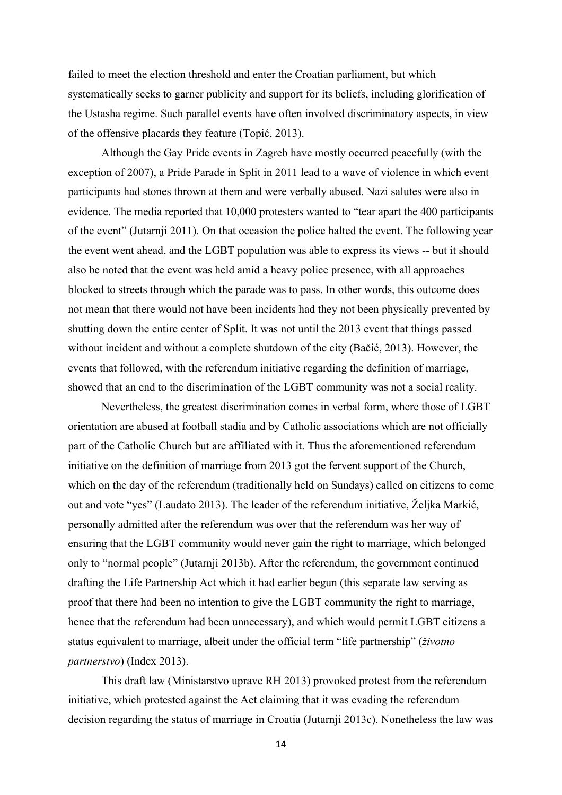failed to meet the election threshold and enter the Croatian parliament, but which systematically seeks to garner publicity and support for its beliefs, including glorification of the Ustasha regime. Such parallel events have often involved discriminatory aspects, in view of the offensive placards they feature (Topić, 2013).

 Although the Gay Pride events in Zagreb have mostly occurred peacefully (with the exception of 2007), a Pride Parade in Split in 2011 lead to a wave of violence in which event participants had stones thrown at them and were verbally abused. Nazi salutes were also in evidence. The media reported that 10,000 protesters wanted to "tear apart the 400 participants of the event" (Jutarnji 2011). On that occasion the police halted the event. The following year the event went ahead, and the LGBT population was able to express its views -- but it should also be noted that the event was held amid a heavy police presence, with all approaches blocked to streets through which the parade was to pass. In other words, this outcome does not mean that there would not have been incidents had they not been physically prevented by shutting down the entire center of Split. It was not until the 2013 event that things passed without incident and without a complete shutdown of the city (Bačić, 2013). However, the events that followed, with the referendum initiative regarding the definition of marriage, showed that an end to the discrimination of the LGBT community was not a social reality.

 Nevertheless, the greatest discrimination comes in verbal form, where those of LGBT orientation are abused at football stadia and by Catholic associations which are not officially part of the Catholic Church but are affiliated with it. Thus the aforementioned referendum initiative on the definition of marriage from 2013 got the fervent support of the Church, which on the day of the referendum (traditionally held on Sundays) called on citizens to come out and vote "yes" (Laudato 2013). The leader of the referendum initiative, Željka Markić, personally admitted after the referendum was over that the referendum was her way of ensuring that the LGBT community would never gain the right to marriage, which belonged only to "normal people" (Jutarnji 2013b). After the referendum, the government continued drafting the Life Partnership Act which it had earlier begun (this separate law serving as proof that there had been no intention to give the LGBT community the right to marriage, hence that the referendum had been unnecessary), and which would permit LGBT citizens a status equivalent to marriage, albeit under the official term "life partnership" (*životno partnerstvo*) (Index 2013).

 This draft law (Ministarstvo uprave RH 2013) provoked protest from the referendum initiative, which protested against the Act claiming that it was evading the referendum decision regarding the status of marriage in Croatia (Jutarnji 2013c). Nonetheless the law was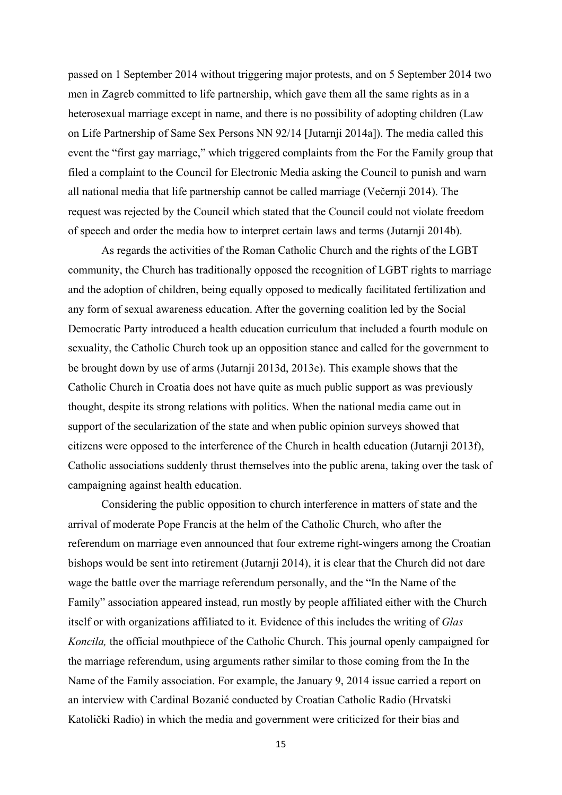passed on 1 September 2014 without triggering major protests, and on 5 September 2014 two men in Zagreb committed to life partnership, which gave them all the same rights as in a heterosexual marriage except in name, and there is no possibility of adopting children (Law on Life Partnership of Same Sex Persons NN 92/14 [Jutarnji 2014a]). The media called this event the "first gay marriage," which triggered complaints from the For the Family group that filed a complaint to the Council for Electronic Media asking the Council to punish and warn all national media that life partnership cannot be called marriage (Večernji 2014). The request was rejected by the Council which stated that the Council could not violate freedom of speech and order the media how to interpret certain laws and terms (Jutarnji 2014b).

 As regards the activities of the Roman Catholic Church and the rights of the LGBT community, the Church has traditionally opposed the recognition of LGBT rights to marriage and the adoption of children, being equally opposed to medically facilitated fertilization and any form of sexual awareness education. After the governing coalition led by the Social Democratic Party introduced a health education curriculum that included a fourth module on sexuality, the Catholic Church took up an opposition stance and called for the government to be brought down by use of arms (Jutarnji 2013d, 2013e). This example shows that the Catholic Church in Croatia does not have quite as much public support as was previously thought, despite its strong relations with politics. When the national media came out in support of the secularization of the state and when public opinion surveys showed that citizens were opposed to the interference of the Church in health education (Jutarnji 2013f), Catholic associations suddenly thrust themselves into the public arena, taking over the task of campaigning against health education.

 Considering the public opposition to church interference in matters of state and the arrival of moderate Pope Francis at the helm of the Catholic Church, who after the referendum on marriage even announced that four extreme right-wingers among the Croatian bishops would be sent into retirement (Jutarnji 2014), it is clear that the Church did not dare wage the battle over the marriage referendum personally, and the "In the Name of the Family" association appeared instead, run mostly by people affiliated either with the Church itself or with organizations affiliated to it. Evidence of this includes the writing of *Glas Koncila,* the official mouthpiece of the Catholic Church. This journal openly campaigned for the marriage referendum, using arguments rather similar to those coming from the In the Name of the Family association. For example, the January 9, 2014 issue carried a report on an interview with Cardinal Bozanić conducted by Croatian Catholic Radio (Hrvatski Katolički Radio) in which the media and government were criticized for their bias and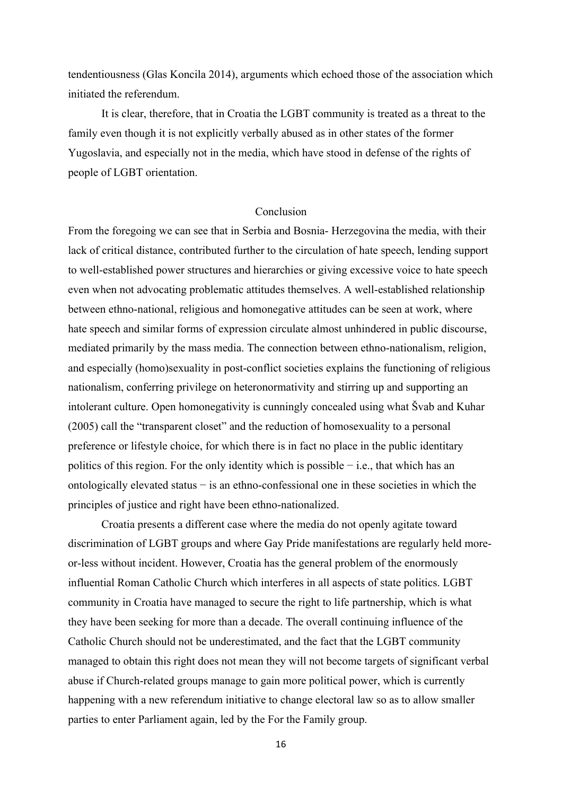tendentiousness (Glas Koncila 2014), arguments which echoed those of the association which initiated the referendum.

 It is clear, therefore, that in Croatia the LGBT community is treated as a threat to the family even though it is not explicitly verbally abused as in other states of the former Yugoslavia, and especially not in the media, which have stood in defense of the rights of people of LGBT orientation.

#### Conclusion

From the foregoing we can see that in Serbia and Bosnia- Herzegovina the media, with their lack of critical distance, contributed further to the circulation of hate speech, lending support to well-established power structures and hierarchies or giving excessive voice to hate speech even when not advocating problematic attitudes themselves. A well-established relationship between ethno-national, religious and homonegative attitudes can be seen at work, where hate speech and similar forms of expression circulate almost unhindered in public discourse, mediated primarily by the mass media. The connection between ethno-nationalism, religion, and especially (homo)sexuality in post-conflict societies explains the functioning of religious nationalism, conferring privilege on heteronormativity and stirring up and supporting an intolerant culture. Open homonegativity is cunningly concealed using what Švab and Kuhar (2005) call the "transparent closet" and the reduction of homosexuality to a personal preference or lifestyle choice, for which there is in fact no place in the public identitary politics of this region. For the only identity which is possible − i.e., that which has an ontologically elevated status − is an ethno-confessional one in these societies in which the principles of justice and right have been ethno-nationalized.

 Croatia presents a different case where the media do not openly agitate toward discrimination of LGBT groups and where Gay Pride manifestations are regularly held moreor-less without incident. However, Croatia has the general problem of the enormously influential Roman Catholic Church which interferes in all aspects of state politics. LGBT community in Croatia have managed to secure the right to life partnership, which is what they have been seeking for more than a decade. The overall continuing influence of the Catholic Church should not be underestimated, and the fact that the LGBT community managed to obtain this right does not mean they will not become targets of significant verbal abuse if Church-related groups manage to gain more political power, which is currently happening with a new referendum initiative to change electoral law so as to allow smaller parties to enter Parliament again, led by the For the Family group.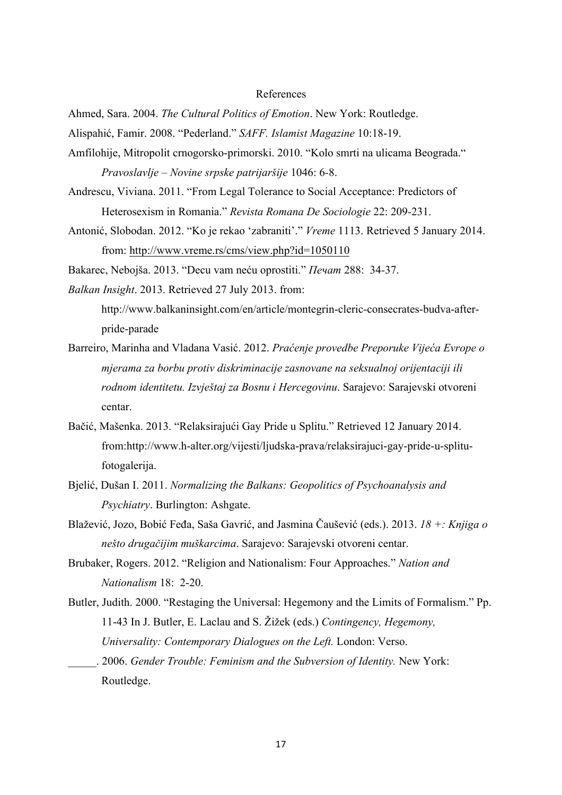#### References

Ahmed, Sara. 2004. *The Cultural Politics of Emotion*. New York: Routledge.

Alispahić, Famir. 2008. "Pederland." *SAFF. Islamist Magazine* 10:18-19.

- Amfilohije, Mitropolit crnogorsko-primorski. 2010. "Kolo smrti na ulicama Beograda." *Pravoslavlje – Novine srpske patrijaršije* 1046: 6*-*8.
- Andrescu, Viviana. 2011. "From Legal Tolerance to Social Acceptance: Predictors of Heterosexism in Romania." *Revista Romana De Sociologie* 22: 209*-*231.
- Antonić, Slobodan. 2012. "Ko je rekao 'zabraniti'." *Vreme* 1113. Retrieved 5 January 2014. from: http://www.vreme.rs/cms/view.php?id=1050110

Bakarec, Nebojša. 2013. "Decu vam neću oprostiti." *Печат* 288: 34*-*37.

*Balkan Insight*. 2013. Retrieved 27 July 2013. from:

http://www.balkaninsight.com/en/article/montegrin-cleric-consecrates-budva-afterpride-parade

- Barreiro, Marinha and Vladana Vasić. 2012. *Praćenje provedbe Preporuke Vijeća Evrope o mjerama za borbu protiv diskriminacije zasnovane na seksualnoj orijentaciji ili rodnom identitetu. Izvještaj za Bosnu i Hercegovinu*. Sarajevo: Sarajevski otvoreni centar.
- Bačić, Mašenka. 2013. "Relaksirajući Gay Pride u Splitu." Retrieved 12 January 2014. from:http://www.h-alter.org/vijesti/ljudska-prava/relaksirajuci-gay-pride-u-splitufotogalerija.
- Bjelić, Dušan I. 2011. *Normalizing the Balkans: Geopolitics of Psychoanalysis and Psychiatry*. Burlington: Ashgate.
- Blažević, Jozo, Bobić Feđa, Saša Gavrić, and Jasmina Čaušević (eds.). 2013. *18 +: Knjiga o nešto drugačijim muškarcima*. Sarajevo: Sarajevski otvoreni centar.
- Brubaker, Rogers. 2012. "Religion and Nationalism: Four Approaches." *Nation and Nationalism* 18: 2-20.
- Butler, Judith. 2000. "Restaging the Universal: Hegemony and the Limits of Formalism." Pp. 11-43 In J. Butler, E. Laclau and S. Žižek (eds.) *Contingency, Hegemony, Universality: Contemporary Dialogues on the Left.* London: Verso. \_\_\_\_\_. 2006. *Gender Trouble: Feminism and the Subversion of Identity.* New York:
	- Routledge.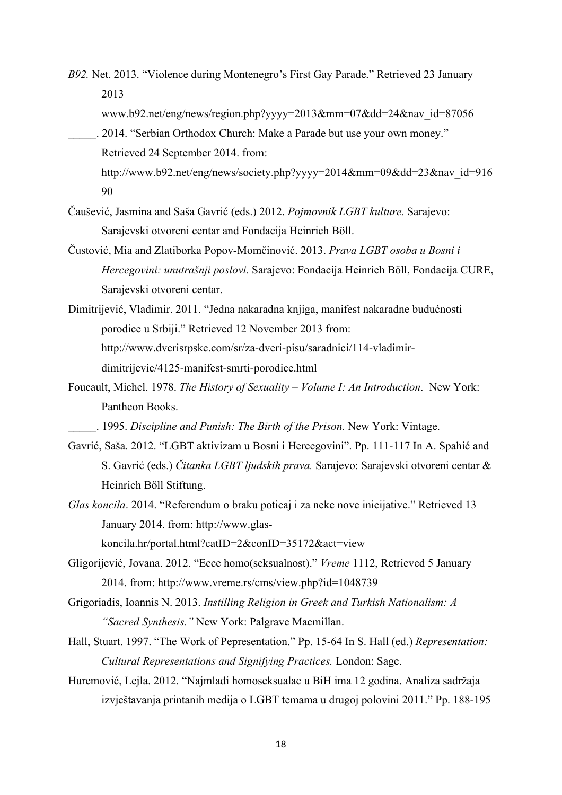*B92.* Net. 2013. "Violence during Montenegro's First Gay Parade." Retrieved 23 January 2013

```
www.b92.net/eng/news/region.php?yyyy=2013&mm=07&dd=24&nav_id=87056
```
- *\_\_\_\_\_*. 2014. "Serbian Orthodox Church: Make a Parade but use your own money." Retrieved 24 September 2014. from: http://www.b92.net/eng/news/society.php?yyyy=2014&mm=09&dd=23&nav\_id=916 90
- Čaušević, Jasmina and Saša Gavrić (eds.) 2012. *Pojmovnik LGBT kulture.* Sarajevo: Sarajevski otvoreni centar and Fondacija Heinrich Böll.
- Čustović, Mia and Zlatiborka Popov-Momčinović. 2013. *Prava LGBT osoba u Bosni i Hercegovini: unutrašnji poslovi.* Sarajevo: Fondacija Heinrich Böll, Fondacija CURE, Sarajevski otvoreni centar.
- Dimitrijević, Vladimir. 2011. "Jedna nakaradna knjiga, manifest nakaradne budućnosti porodice u Srbiji." Retrieved 12 November 2013 from: http://www.dverisrpske.com/sr/za-dveri-pisu/saradnici/114-vladimirdimitrijevic/4125-manifest-smrti-porodice.html
- Foucault, Michel. 1978. *The History of Sexuality Volume I: An Introduction*. New York: Pantheon Books.
- \_\_\_\_\_. 1995. *Discipline and Punish: The Birth of the Prison.* New York: Vintage.
- Gavrić, Saša. 2012. "LGBT aktivizam u Bosni i Hercegovini". Pp. 111-117 In A. Spahić and S. Gavrić (eds.) *Čitanka LGBT ljudskih prava.* Sarajevo: Sarajevski otvoreni centar & Heinrich Böll Stiftung.
- *Glas koncila*. 2014. "Referendum o braku poticaj i za neke nove inicijative." Retrieved 13 January 2014. from: http://www.glas-

koncila.hr/portal.html?catID=2&conID=35172&act=view

- Gligorijević, Jovana. 2012. "Ecce homo(seksualnost)." *Vreme* 1112, Retrieved 5 January 2014. from: http://www.vreme.rs/cms/view.php?id=1048739
- Grigoriadis, Ioannis N. 2013. *Instilling Religion in Greek and Turkish Nationalism: A "Sacred Synthesis."* New York: Palgrave Macmillan.
- Hall, Stuart. 1997. "The Work of Pepresentation." Pp. 15-64 In S. Hall (ed.) *Representation: Cultural Representations and Signifying Practices.* London: Sage.
- Huremović, Lejla. 2012. "Najmlađi homoseksualac u BiH ima 12 godina. Analiza sadržaja izvještavanja printanih medija o LGBT temama u drugoj polovini 2011." Pp. 188-195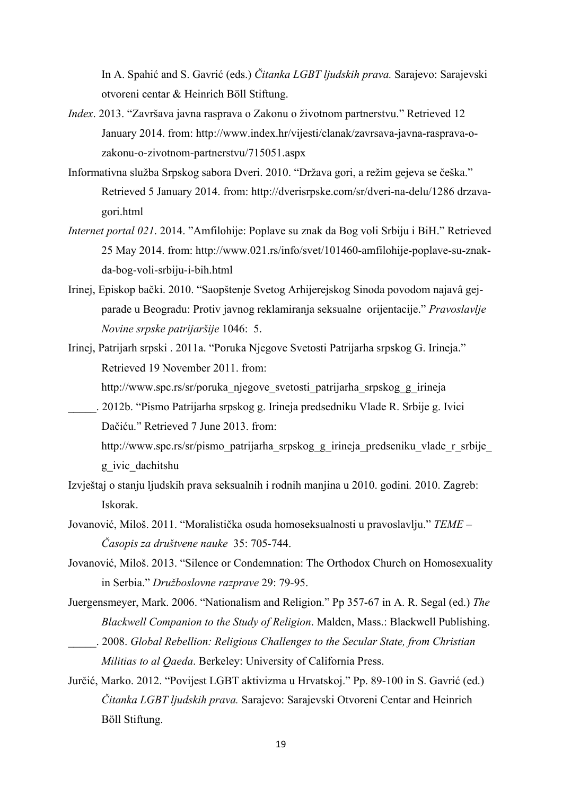In A. Spahić and S. Gavrić (eds.) *Čitanka LGBT ljudskih prava.* Sarajevo: Sarajevski otvoreni centar & Heinrich Böll Stiftung.

- *Index*. 2013. "Završava javna rasprava o Zakonu o životnom partnerstvu." Retrieved 12 January 2014. from: http://www.index.hr/vijesti/clanak/zavrsava-javna-rasprava-ozakonu-o-zivotnom-partnerstvu/715051.aspx
- Informativna služba Srpskog sabora Dveri. 2010. "Država gori, a režim gejeva se češka." Retrieved 5 January 2014. from: http://dverisrpske.com/sr/dveri-na-delu/1286 drzavagori.html
- *Internet portal 021*. 2014. "Amfilohije: Poplave su znak da Bog voli Srbiju i BiH." Retrieved 25 May 2014. from: http://www.021.rs/info/svet/101460-amfilohije-poplave-su-znakda-bog-voli-srbiju-i-bih.html
- Irinej, Episkop bački. 2010. "Saopštenje Svetog Arhijerejskog Sinoda povodom najavâ gejparade u Beogradu: Protiv javnog reklamiranja seksualne orijentacije." *Pravoslavlje Novine srpske patrijaršije* 1046: 5.
- Irinej, Patrijarh srpski . 2011a. "Poruka Njegove Svetosti Patrijarha srpskog G. Irineja." Retrieved 19 November 2011. from:
	- http://www.spc.rs/sr/poruka njegove svetosti patrijarha srpskog g irineja
	- \_\_\_\_\_. 2012b. "Pismo Patrijarha srpskog g. Irineja predsedniku Vlade R. Srbije g. Ivici Dačiću." Retrieved 7 June 2013. from:
		- http://www.spc.rs/sr/pismo\_patrijarha\_srpskog\_g\_irineja\_predseniku\_vlade\_r\_srbije g ivic dachitshu
- Izvještaj o stanju ljudskih prava seksualnih i rodnih manjina u 2010. godini*.* 2010. Zagreb: Iskorak.
- Jovanović, Miloš. 2011. "Moralistička osuda homoseksualnosti u pravoslavlju." *TEME Časopis za društvene nauke* 35: 705*-*744.
- Jovanović, Miloš. 2013. "Silence or Condemnation: The Orthodox Church on Homosexuality in Serbia." *Družboslovne razprave* 29: 79*-*95.
- Juergensmeyer, Mark. 2006. "Nationalism and Religion." Pp 357-67 in A. R. Segal (ed.) *The Blackwell Companion to the Study of Religion*. Malden, Mass.: Blackwell Publishing. \_\_\_\_\_. 2008. *Global Rebellion: Religious Challenges to the Secular State, from Christian Militias to al Qaeda*. Berkeley: University of California Press.
- Jurčić, Marko. 2012. "Povijest LGBT aktivizma u Hrvatskoj." Pp. 89-100 in S. Gavrić (ed.) *Čitanka LGBT ljudskih prava.* Sarajevo: Sarajevski Otvoreni Centar and Heinrich Böll Stiftung.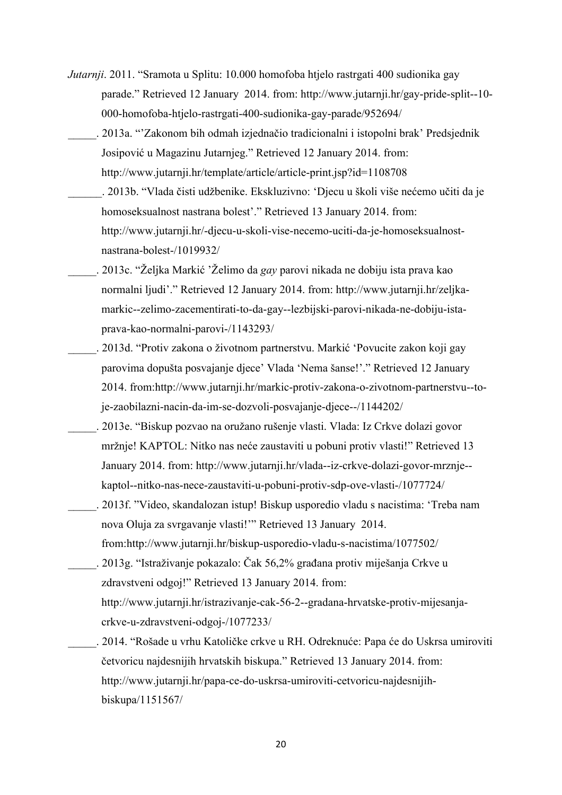- *Jutarnji*. 2011. "Sramota u Splitu: 10.000 homofoba htjelo rastrgati 400 sudionika gay parade." Retrieved 12 January 2014. from: http://www.jutarnji.hr/gay-pride-split--10- 000-homofoba-htjelo-rastrgati-400-sudionika-gay-parade/952694/
- *\_\_\_\_\_*. 2013a. "'Zakonom bih odmah izjednačio tradicionalni i istopolni brak' Predsjednik Josipović u Magazinu Jutarnjeg." Retrieved 12 January 2014. from: http://www.jutarnji.hr/template/article/article-print.jsp?id=1108708
- *\_\_\_\_\_\_*. 2013b. "Vlada čisti udžbenike. Ekskluzivno: 'Djecu u školi više nećemo učiti da je homoseksualnost nastrana bolest'." Retrieved 13 January 2014. from: http://www.jutarnji.hr/-djecu-u-skoli-vise-necemo-uciti-da-je-homoseksualnostnastrana-bolest-/1019932/
- *\_\_\_\_\_*. 2013c. "Željka Markić 'Želimo da *gay* parovi nikada ne dobiju ista prava kao normalni ljudi'." Retrieved 12 January 2014. from: http://www.jutarnji.hr/zeljkamarkic--zelimo-zacementirati-to-da-gay--lezbijski-parovi-nikada-ne-dobiju-istaprava-kao-normalni-parovi-/1143293/
- *\_\_\_\_\_*. 2013d. "Protiv zakona o životnom partnerstvu. Markić 'Povucite zakon koji gay parovima dopušta posvajanje djece' Vlada 'Nema šanse!'." Retrieved 12 January 2014. from:http://www.jutarnji.hr/markic-protiv-zakona-o-zivotnom-partnerstvu--toje-zaobilazni-nacin-da-im-se-dozvoli-posvajanje-djece--/1144202/
- *\_\_\_\_\_*. 2013e. "Biskup pozvao na oružano rušenje vlasti. Vlada: Iz Crkve dolazi govor mržnje! KAPTOL: Nitko nas neće zaustaviti u pobuni protiv vlasti!" Retrieved 13 January 2014. from: http://www.jutarnji.hr/vlada--iz-crkve-dolazi-govor-mrznje- kaptol--nitko-nas-nece-zaustaviti-u-pobuni-protiv-sdp-ove-vlasti-/1077724/
- *\_\_\_\_\_*. 2013f. "Video, skandalozan istup! Biskup usporedio vladu s nacistima: 'Treba nam nova Oluja za svrgavanje vlasti!'" Retrieved 13 January 2014. from:http://www.jutarnji.hr/biskup-usporedio-vladu-s-nacistima/1077502/
- *\_\_\_\_\_*. 2013g. "Istraživanje pokazalo: Čak 56,2% građana protiv miješanja Crkve u zdravstveni odgoj!" Retrieved 13 January 2014. from: http://www.jutarnji.hr/istrazivanje-cak-56-2--gradana-hrvatske-protiv-mijesanjacrkve-u-zdravstveni-odgoj-/1077233/
- *\_\_\_\_\_*. 2014. "Rošade u vrhu Katoličke crkve u RH. Odreknuće: Papa će do Uskrsa umiroviti četvoricu najdesnijih hrvatskih biskupa." Retrieved 13 January 2014. from: http://www.jutarnji.hr/papa-ce-do-uskrsa-umiroviti-cetvoricu-najdesnijihbiskupa/1151567/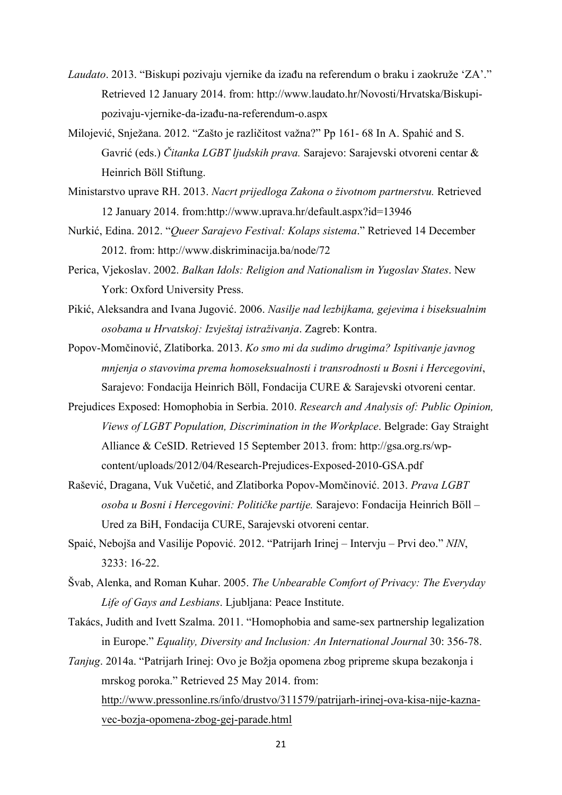- *Laudato*. 2013. "Biskupi pozivaju vjernike da izađu na referendum o braku i zaokruže 'ZA'." Retrieved 12 January 2014. from: http://www.laudato.hr/Novosti/Hrvatska/Biskupipozivaju-vjernike-da-izađu-na-referendum-o.aspx
- Milojević, Snježana. 2012. "Zašto je različitost važna?" Pp 161- 68 In A. Spahić and S. Gavrić (eds.) *Čitanka LGBT ljudskih prava.* Sarajevo: Sarajevski otvoreni centar & Heinrich Böll Stiftung.
- Ministarstvo uprave RH. 2013. *Nacrt prijedloga Zakona o životnom partnerstvu.* Retrieved 12 January 2014. from:http://www.uprava.hr/default.aspx?id=13946
- Nurkić, Edina. 2012. "*Queer Sarajevo Festival: Kolaps sistema*." Retrieved 14 December 2012. from: http://www.diskriminacija.ba/node/72
- Perica, Vjekoslav. 2002. *Balkan Idols: Religion and Nationalism in Yugoslav States*. New York: Oxford University Press.
- Pikić, Aleksandra and Ivana Jugović. 2006. *Nasilje nad lezbijkama, gejevima i biseksualnim osobama u Hrvatskoj: Izvještaj istraživanja*. Zagreb: Kontra.
- Popov-Momčinović, Zlatiborka. 2013. *Ko smo mi da sudimo drugima? Ispitivanje javnog mnjenja o stavovima prema homoseksualnosti i transrodnosti u Bosni i Hercegovini*, Sarajevo: Fondacija Heinrich Böll, Fondacija CURE & Sarajevski otvoreni centar.
- Prejudices Exposed: Homophobia in Serbia. 2010. *Research and Analysis of: Public Opinion, Views of LGBT Population, Discrimination in the Workplace*. Belgrade: Gay Straight Alliance & CeSID. Retrieved 15 September 2013. from: http://gsa.org.rs/wpcontent/uploads/2012/04/Research-Prejudices-Exposed-2010-GSA.pdf
- Rašević, Dragana, Vuk Vučetić, and Zlatiborka Popov-Momčinović. 2013. *Prava LGBT osoba u Bosni i Hercegovini: Političke partije.* Sarajevo: Fondacija Heinrich Böll – Ured za BiH, Fondacija CURE, Sarajevski otvoreni centar.
- Spaić, Nebojša and Vasilije Popović. 2012. "Patrijarh Irinej Intervju Prvi deo." *NIN*, 3233: 16*-*22.
- Švab, Alenka, and Roman Kuhar. 2005. *The Unbearable Comfort of Privacy: The Everyday Life of Gays and Lesbians*. Ljubljana: Peace Institute.
- Takács, Judith and Ivett Szalma. 2011. "Homophobia and same-sex partnership legalization in Europe." *Equality, Diversity and Inclusion: An International Journal* 30: 356*-*78.
- *Tanjug*. 2014a. "Patrijarh Irinej: Ovo je Božja opomena zbog pripreme skupa bezakonja i mrskog poroka." Retrieved 25 May 2014. from: http://www.pressonline.rs/info/drustvo/311579/patrijarh-irinej-ova-kisa-nije-kaznavec-bozja-opomena-zbog-gej-parade.html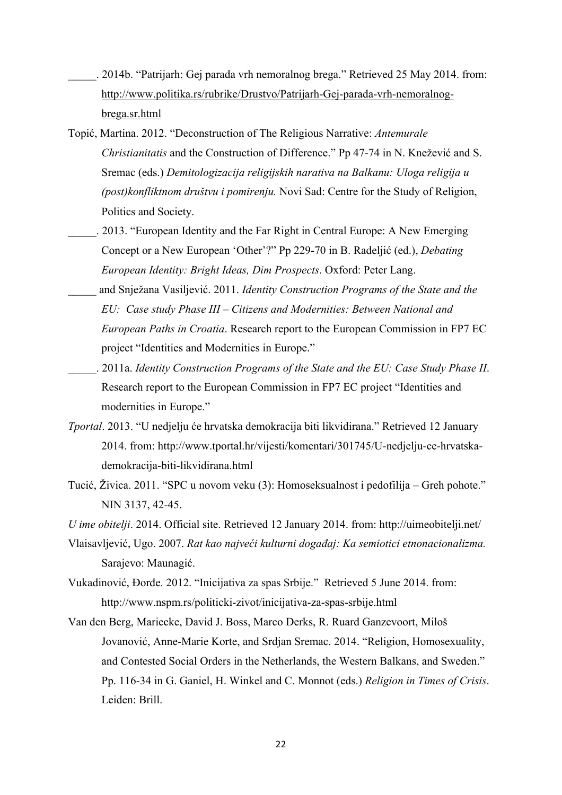- *\_\_\_\_\_*. 2014b. "Patrijarh: Gej parada vrh nemoralnog brega." Retrieved 25 May 2014. from: http://www.politika.rs/rubrike/Drustvo/Patrijarh-Gej-parada-vrh-nemoralnogbrega.sr.html
- Topić, Martina. 2012. "Deconstruction of The Religious Narrative: *Antemurale Christianitatis* and the Construction of Difference." Pp 47-74 in N. Knežević and S. Sremac (eds.) *Demitologizacija religijskih narativa na Balkanu: Uloga religija u (post)konfliktnom društvu i pomirenju.* Novi Sad: Centre for the Study of Religion, Politics and Society.
- \_\_\_\_\_. 2013. "European Identity and the Far Right in Central Europe: A New Emerging Concept or a New European 'Other'?" Pp 229-70 in B. Radeljić (ed.), *Debating European Identity: Bright Ideas, Dim Prospects*. Oxford: Peter Lang.
- \_\_\_\_\_ and Snježana Vasiljević. 2011. *Identity Construction Programs of the State and the EU: Case study Phase III ‒ Citizens and Modernities: Between National and European Paths in Croatia*. Research report to the European Commission in FP7 EC project "Identities and Modernities in Europe."
- \_\_\_\_\_. 2011a. *Identity Construction Programs of the State and the EU: Case Study Phase II*. Research report to the European Commission in FP7 EC project "Identities and modernities in Europe."
- *Tportal*. 2013. "U nedjelju će hrvatska demokracija biti likvidirana." Retrieved 12 January 2014. from: http://www.tportal.hr/vijesti/komentari/301745/U-nedjelju-ce-hrvatskademokracija-biti-likvidirana.html
- Tucić, Živica. 2011. "SPC u novom veku (3): Homoseksualnost i pedofilija Greh pohote." NIN 3137, 42*-*45.
- *U ime obitelji*. 2014. Official site. Retrieved 12 January 2014. from: http://uimeobitelji.net/
- Vlaisavljević, Ugo. 2007. *Rat kao najveći kulturni događaj: Ka semiotici etnonacionalizma.*  Sarajevo: Maunagić.
- Vukadinović, Đorđe*.* 2012. "Inicijativa za spas Srbije." Retrieved 5 June 2014. from: http://www.nspm.rs/politicki-zivot/inicijativa-za-spas-srbije.html
- Van den Berg, Mariecke, David J. Boss, Marco Derks, R. Ruard Ganzevoort, Miloš Jovanović, Anne-Marie Korte, and Srdjan Sremac. 2014. "Religion, Homosexuality, and Contested Social Orders in the Netherlands, the Western Balkans, and Sweden." Pp. 116-34 in G. Ganiel, H. Winkel and C. Monnot (eds.) *Religion in Times of Crisis*. Leiden: Brill.